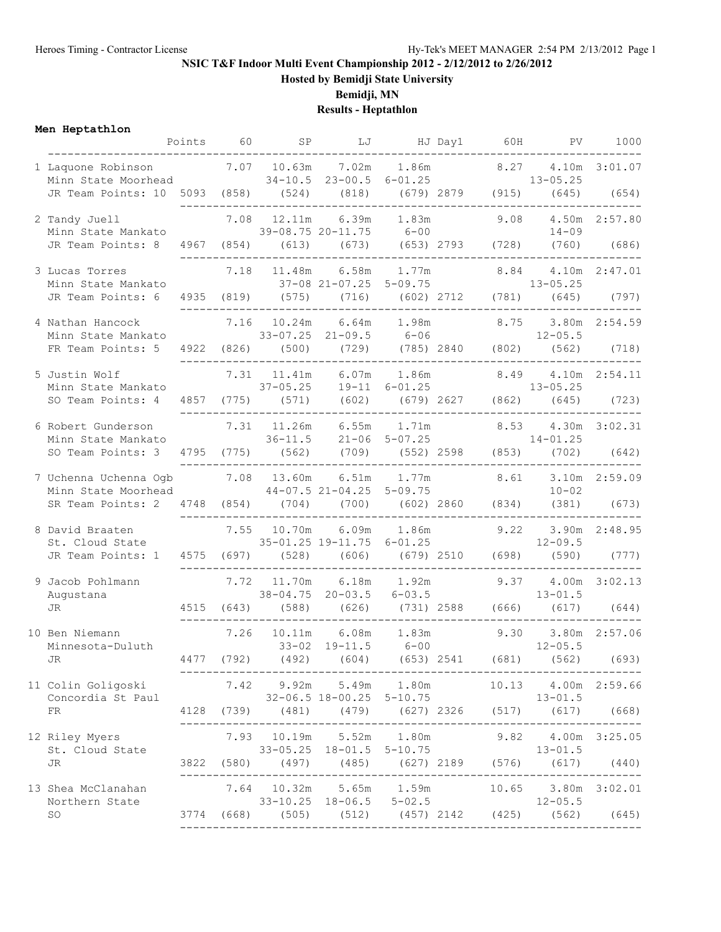### **NSIC T&F Indoor Multi Event Championship 2012 - 2/12/2012 to 2/26/2012**

**Hosted by Bemidji State University**

**Bemidji, MN**

## **Results - Heptathlon**

### **Men Heptathlon**

| меn нертатпіоп                                                                                            |            | Points 60 SP        |                                                         |               |              | PV.                                                                                             | 1000                   |
|-----------------------------------------------------------------------------------------------------------|------------|---------------------|---------------------------------------------------------|---------------|--------------|-------------------------------------------------------------------------------------------------|------------------------|
| ________________________<br>1 Laquone Robinson<br>Minn State Moorhead 34-10.5 23-00.5 6-01.25             |            | 7.07 10.63m         | 7.02m                                                   |               | 1.86m 8.27   | $13 - 05.25$                                                                                    | 4.10m 3:01.07          |
| JR Team Points: 10 5093 (858) (524) (818) (679) 2879 (915) (645) (654)                                    |            |                     |                                                         |               | ------       |                                                                                                 |                        |
| 2 Tandy Juell<br>Minn State Mankato                                                                       |            | 7.08 12.11m         | 39-08.75 20-11.75 6-00                                  | 6.39m 1.83m   | 9.08         | $14 - 09$                                                                                       | 4.50m 2:57.80          |
| JR Team Points: 8                                                                                         | 4967 (854) |                     | $(613)$ $(673)$ $(653)$ $2793$ $(728)$                  |               |              |                                                                                                 | $(760)$ (686)          |
| 3 Lucas Torres<br>Minn State Mankato                                                                      | 7.18       | 11.48m              |                                                         | 6.58m 1.77m   | 8.84         |                                                                                                 | 4.10m 2:47.01          |
|                                                                                                           |            |                     |                                                         |               |              |                                                                                                 |                        |
| 4 Nathan Hancock<br>Minn State Mankato<br>FR Team Points: 5 4922 (826) (500) (729) (785) 2840 (802) (562) | 7.16       | 10.24m              | 6.64m<br>$33 - 07.25$ 21-09.5 6-06                      |               | 1.98m 8.75   | $12 - 05.5$                                                                                     | 3.80m 2:54.59<br>(718) |
|                                                                                                           |            |                     | _____________________                                   |               |              |                                                                                                 |                        |
| 5 Justin Wolf<br>Minn State Mankato                                                                       |            | $7.31$ 11.41m       | $37-05.25$ 19-11 6-01.25                                | $6.07m$ 1.86m | 8.49         | $13 - 05.25$                                                                                    | 4.10m 2:54.11          |
| SO Team Points: 4                                                                                         |            |                     | 4857 (775) (571) (602) (679) 2627 (862)                 |               |              | (645)                                                                                           | (723)                  |
| 6 Robert Gunderson<br>Minn State Mankato                                                                  |            |                     | 7.31 11.26m 6.55m 1.71m                                 |               | 8.53         |                                                                                                 | 4.30m 3:02.31          |
|                                                                                                           |            |                     |                                                         |               |              |                                                                                                 |                        |
| 7 Uchenna Uchenna Ogb 7.08 13.60m<br>Minn State Moorhead 44-07.5 21-04.25 5-09.75                         |            |                     | 6.51m                                                   |               | $1.77m$ 8.61 | $10 - 02$                                                                                       | 3.10m 2:59.09          |
| SR Team Points: 2 4748 (854) (704) (700) (602) 2860 (834)                                                 |            |                     |                                                         |               |              | (381)                                                                                           | (673)                  |
| 8 David Braaten<br>David Braaten 7.5<br>St. Cloud State                                                   |            | 7.55 10.70m         | 6.09m<br>$35-01.25$ 19-11.75 6-01.25                    | 1.86m         | 9.22         | $12 - 09.5$                                                                                     | 3.90m 2:48.95          |
| JR Team Points: 1 4575 (697)                                                                              |            |                     | (528) (606) (679) 2510 (698)                            |               |              | (590)                                                                                           | (777)                  |
| 9 Jacob Pohlmann<br>Augustana                                                                             |            |                     | _______________________<br>7.72 11.70m 6.18m 1.92m      |               |              | --------<br>9.37 4.00m 3:02.13                                                                  |                        |
| JR                                                                                                        |            |                     |                                                         |               |              | $38-04.75$ $20-03.5$ $6-03.5$ $13-01.5$<br>4515 (643) (588) (626) (731) 2588 (666) (617) (644)  |                        |
| 10 Ben Niemann<br>Minnesota-Duluth                                                                        | 7.26       | 10.11m<br>$33 - 02$ | 6.08m<br>$19 - 11.5$                                    | $6 - 00$      | 1.83m 9.30   | $12 - 05.5$                                                                                     | 3.80m 2:57.06          |
| $\mathop{\rm JR}\nolimits$                                                                                |            |                     |                                                         |               |              | 4477 (792) (492) (604) (653) 2541 (681) (562)                                                   | (693)                  |
| 11 Colin Goligoski<br>Concordia St Paul                                                                   |            |                     | ---------------------------<br>32-06.5 18-00.25 5-10.75 |               |              | 7.42 9.92m 5.49m 1.80m 10.13 4.00m 2:59.66<br>$13 - 01.5$                                       |                        |
| FR                                                                                                        |            |                     |                                                         |               |              | 4128 (739) (481) (479) (627) 2326 (517) (617) (668)                                             |                        |
| 12 Riley Myers                                                                                            |            |                     |                                                         |               |              | 7.93 10.19m 5.52m 1.80m 9.82 4.00m 3:25.05                                                      |                        |
| St. Cloud State<br>JR                                                                                     |            |                     |                                                         |               |              | $33-05.25$ $18-01.5$ $5-10.75$ $13-01.5$<br>3822 (580) (497) (485) (627) 2189 (576) (617) (440) |                        |
| 13 Shea McClanahan                                                                                        |            |                     |                                                         |               |              | 7.64 10.32m 5.65m 1.59m 10.65 3.80m 3:02.01                                                     |                        |
| Northern State<br>SO                                                                                      |            |                     |                                                         |               |              | $33-10.25$ $18-06.5$ $5-02.5$ $12-05.5$<br>3774 (668) (505) (512) (457) 2142 (425) (562) (645)  |                        |
|                                                                                                           |            |                     |                                                         |               |              |                                                                                                 |                        |